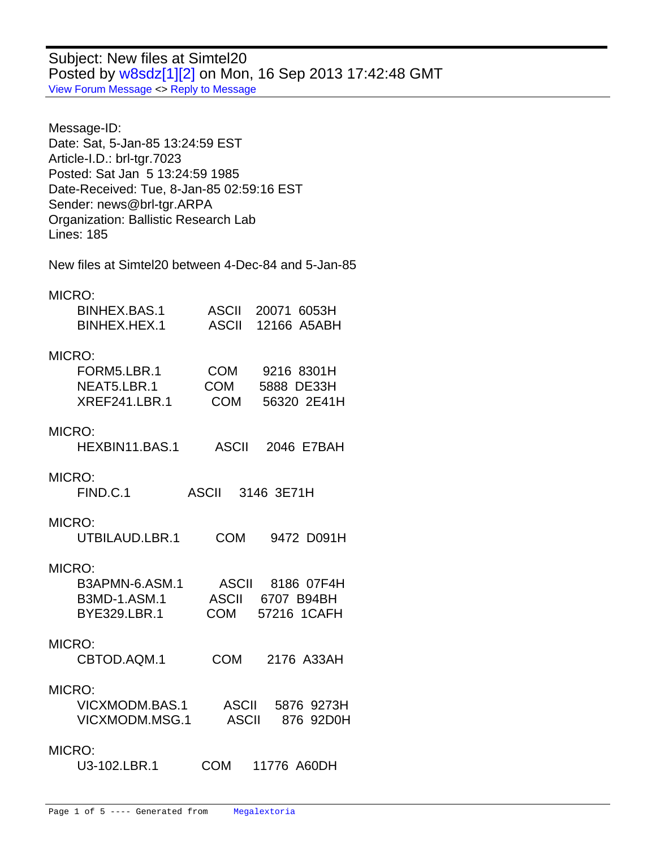Subject: New files at Simtel20 Posted by [w8sdz\[1\]\[2\]](http://www.megalextoria.com/forum2/index.php?t=usrinfo&id=5338) on Mon, 16 Sep 2013 17:42:48 GMT [View Forum Message](http://www.megalextoria.com/forum2/index.php?t=rview&th=46079&goto=112291#msg_112291) <> [Reply to Message](http://www.megalextoria.com/forum2/index.php?t=post&reply_to=112291)

Message-ID: Date: Sat, 5-Jan-85 13:24:59 EST Article-I.D.: brl-tgr.7023 Posted: Sat Jan 5 13:24:59 1985 Date-Received: Tue, 8-Jan-85 02:59:16 EST Sender: news@brl-tgr.ARPA Organization: Ballistic Research Lab Lines: 185

New files at Simtel20 between 4-Dec-84 and 5-Jan-85

MICRO:

| BINHEX.BAS.1<br>BINHEX.HEX.1               | ASCII 20071 6053H<br>ASCII 12166 A5ABH                                              |
|--------------------------------------------|-------------------------------------------------------------------------------------|
| MICRO:                                     |                                                                                     |
| NEAT5.LBR.1<br>XREF241.LBR.1               | FORM5.LBR.1 COM 9216 8301H<br>COM 5888 DE33H<br>COM 56320 2E41H                     |
| MICRO:<br>HEXBIN11.BAS.1                   | ASCII<br>2046 E7BAH                                                                 |
| MICRO:<br>FIND.C.1                         | ASCII 3146 3E71H                                                                    |
| MICRO:<br>UTBILAUD.LBR.1                   | <b>COM</b><br>9472 D091H                                                            |
| MICRO:                                     |                                                                                     |
| BYE329.LBR.1                               | B3APMN-6.ASM.1 ASCII 8186 07F4H<br>B3MD-1.ASM.1 ASCII 6707 B94BH<br>COM 57216 1CAFH |
| MICRO:                                     |                                                                                     |
| CBTOD.AQM.1                                | COM 2176 A33AH                                                                      |
| MICRO:<br>VICXMODM.BAS.1<br>VICXMODM.MSG.1 | ASCII 5876 9273H<br>ASCII 876 92D0H                                                 |
| MICRO:                                     |                                                                                     |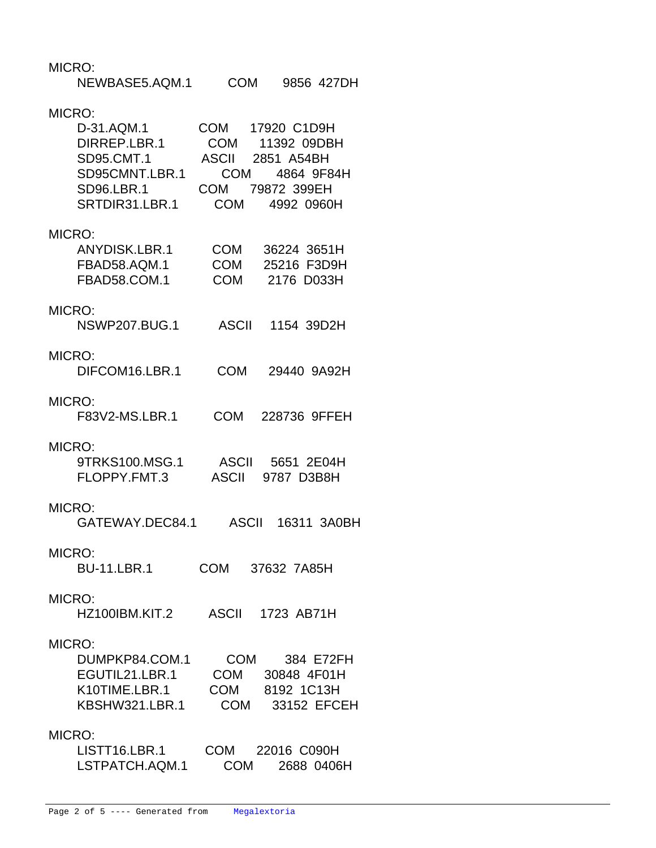| MICRO:<br>NEWBASE5.AQM.1                                                                                    | <b>COM</b>                                                    | 9856 427DH                                                    |
|-------------------------------------------------------------------------------------------------------------|---------------------------------------------------------------|---------------------------------------------------------------|
| MICRO:<br>D-31.AQM.1<br>DIRREP.LBR.1<br><b>SD95.CMT.1</b><br>SD95CMNT.LBR.1<br>SD96.LBR.1<br>SRTDIR31.LBR.1 | COM 17920 C1D9H<br><b>ASCII</b> 2851 A54BH<br>COM 79872 399EH | COM 11392 09DBH<br>COM 4864 9F84H<br>COM 4992 0960H           |
| MICRO:<br>ANYDISK.LBR.1<br>FBAD58.AQM.1<br>FBAD58.COM.1                                                     | <b>COM</b><br>COM<br><b>COM</b>                               | 36224 3651H<br>25216 F3D9H<br>2176 D033H                      |
| MICRO:<br><b>NSWP207.BUG.1</b>                                                                              | ASCII                                                         | 1154 39D2H                                                    |
| MICRO:<br>DIFCOM16.LBR.1                                                                                    | <b>COM</b>                                                    | 29440 9A92H                                                   |
| MICRO:<br>F83V2-MS.LBR.1                                                                                    | COM                                                           | 228736 9FFEH                                                  |
| MICRO:<br>9TRKS100.MSG.1<br>FLOPPY.FMT.3                                                                    | ASCII                                                         | ASCII 5651 2E04H<br>9787 D3B8H                                |
| MICRO:<br>GATEWAY.DEC84.1                                                                                   | ASCII                                                         | 16311 3A0BH                                                   |
| MICRO:<br><b>BU-11.LBR.1</b>                                                                                | COM 37632 7A85H                                               |                                                               |
| MICRO:<br>HZ100IBM.KIT.2                                                                                    | <b>ASCII</b>                                                  | 1723 AB71H                                                    |
| MICRO:<br>DUMPKP84.COM.1<br>EGUTIL21.LBR.1<br>K10TIME.LBR.1<br>KBSHW321.LBR.1                               | <b>COM</b><br>COM                                             | 384 E72FH<br>30848 4F01H<br>COM 8192 1C13H<br>COM 33152 EFCEH |
| MICRO:<br>LISTT16.LBR.1<br>LSTPATCH.AQM.1                                                                   |                                                               | COM 22016 C090H<br>COM 2688 0406H                             |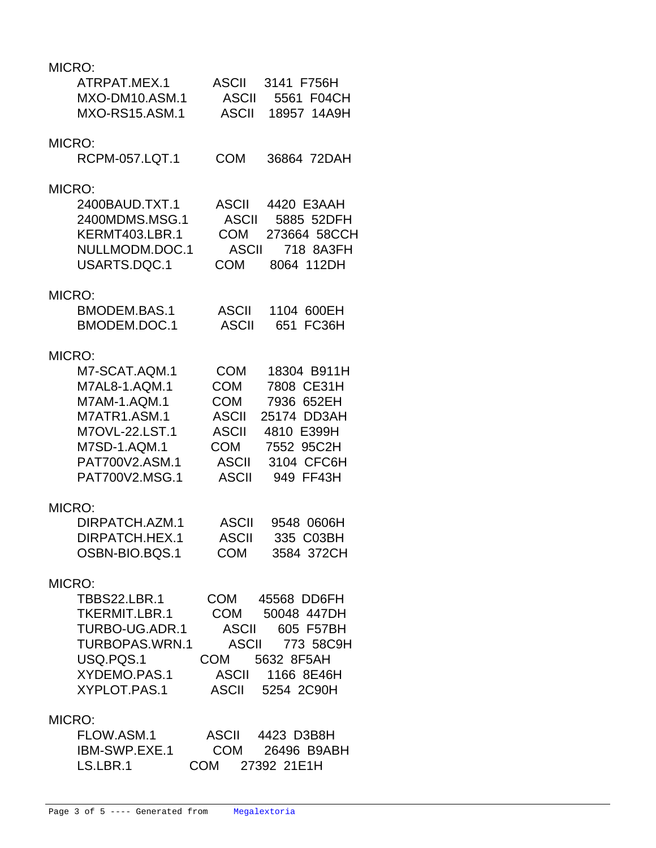## MICRO:

| MICRO:                                                  |                                                                                         |
|---------------------------------------------------------|-----------------------------------------------------------------------------------------|
| ATRPAT.MEX.1<br>MXO-DM10.ASM.1<br><b>MXO-RS15.ASM.1</b> | <b>ASCII</b><br>3141 F756H<br><b>ASCII</b><br>5561 F04CH<br><b>ASCII</b><br>18957 14A9H |
| MICRO:                                                  |                                                                                         |
| RCPM-057.LQT.1                                          | <b>COM</b><br>36864 72DAH                                                               |
| MICRO:                                                  |                                                                                         |
| 2400BAUD.TXT.1                                          | <b>ASCII</b><br>4420 E3AAH                                                              |
| 2400MDMS.MSG.1                                          | 5885 52DFH<br><b>ASCII</b>                                                              |
| KERMT403.LBR.1                                          | <b>COM</b><br>273664 58CCH                                                              |
| NULLMODM.DOC.1                                          | <b>ASCII</b><br>718 8A3FH                                                               |
| USARTS.DQC.1                                            | <b>COM</b><br>8064 112DH                                                                |
| MICRO:                                                  |                                                                                         |
| BMODEM.BAS.1                                            | <b>ASCII</b><br>1104 600EH                                                              |
| BMODEM.DOC.1                                            | FC36H<br><b>ASCII</b><br>651                                                            |
| MICRO:                                                  |                                                                                         |
| M7-SCAT.AQM.1                                           | COM<br>18304 B911H                                                                      |
| M7AL8-1.AQM.1                                           | COM<br>7808 CE31H                                                                       |
| M7AM-1.AQM.1                                            | <b>COM</b><br>7936 652EH                                                                |
| M7ATR1.ASM.1                                            | <b>ASCII</b><br>25174 DD3AH                                                             |
| M7OVL-22.LST.1                                          | <b>ASCII</b><br>4810 E399H                                                              |
| M7SD-1.AQM.1                                            | COM<br>7552 95C2H                                                                       |
| PAT700V2.ASM.1                                          | 3104 CFC6H<br><b>ASCII</b>                                                              |
| PAT700V2.MSG.1                                          | <b>ASCII</b><br>949 FF43H                                                               |
| MICRO:                                                  |                                                                                         |
| DIRPATCH.AZM.1                                          | <b>ASCII</b><br>9548 0606H                                                              |
| DIRPATCH.HEX.1                                          | <b>ASCII</b><br>335 C03BH                                                               |
| OSBN-BIO.BQS.1                                          | COM 3584 372CH                                                                          |
| MICRO:                                                  |                                                                                         |
| TBBS22.LBR.1                                            | COM 45568 DD6FH                                                                         |
| TKERMIT.LBR.1                                           | COM 50048 447DH                                                                         |
| TURBO-UG.ADR.1                                          | ASCII 605 F57BH                                                                         |
| TURBOPAS.WRN.1                                          | ASCII 773 58C9H                                                                         |
| USQ.PQS.1                                               | COM 5632 8F5AH                                                                          |
| XYDEMO.PAS.1                                            | ASCII 1166 8E46H                                                                        |
| XYPLOT.PAS.1                                            | ASCII 5254 2C90H                                                                        |
| MICRO:                                                  |                                                                                         |
| FLOW.ASM.1                                              | ASCII 4423 D3B8H                                                                        |
| $IDMA$ CMD EVE 4                                        | $OM = 26106$ DOADLI                                                                     |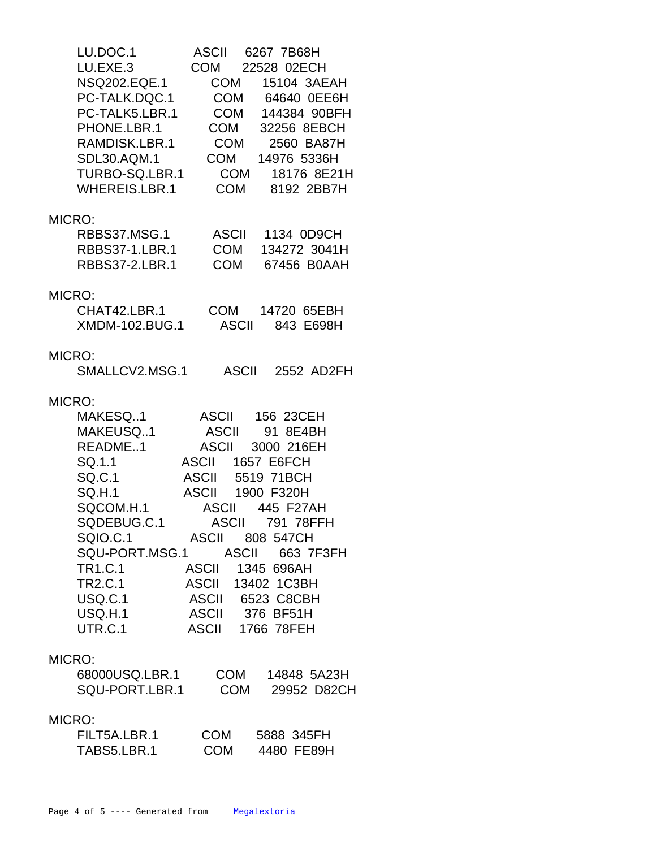| LU.DOC.1<br>LU.EXE.3<br>NSQ202.EQE.1<br>PC-TALK.DQC.1<br>PC-TALK5.LBR.1<br>PHONE.LBR.1<br>RAMDISK.LBR.1<br>SDL30.AQM.1<br>TURBO-SQ.LBR.1<br>WHEREIS.LBR.1                                                   | ASCII 6267 7B68H<br>COM 22528 02ECH<br>COM 15104 3AEAH<br>COM 64640 0EE6H<br>COM 144384 90BFH<br>COM 32256 8EBCH<br>COM 2560 BA87H<br>COM 14976 5336H<br>COM 18176 8E21H<br>COM 8192 2BB7H                                                                                                                                               |
|-------------------------------------------------------------------------------------------------------------------------------------------------------------------------------------------------------------|------------------------------------------------------------------------------------------------------------------------------------------------------------------------------------------------------------------------------------------------------------------------------------------------------------------------------------------|
| MICRO:<br>RBBS37-1.LBR.1<br>RBBS37-2.LBR.1                                                                                                                                                                  | RBBS37.MSG.1 ASCII 1134 0D9CH<br>COM 134272 3041H<br>COM 67456 B0AAH                                                                                                                                                                                                                                                                     |
| MICRO:<br>CHAT42.LBR.1<br>XMDM-102.BUG.1                                                                                                                                                                    | COM 14720 65EBH<br><b>ASCII 843 E698H</b>                                                                                                                                                                                                                                                                                                |
| MICRO:<br>SMALLCV2.MSG.1                                                                                                                                                                                    | ASCII 2552 AD2FH                                                                                                                                                                                                                                                                                                                         |
| MICRO:<br>MAKESQ1<br>MAKEUSQ1<br>README1<br>SQ.1.1<br>SQ.1.1<br>SQ.C.1<br><b>SQ.H.1</b><br>SQCOM.H.1<br>SQDEBUG.C.1<br><b>SQIO.C.1</b><br><b>TR1.C.1</b><br><b>TR2.C.1</b><br>USQ.C.1<br>USQ.H.1<br>UTR.C.1 | ASCII 156 23CEH<br>ASCII 91 8E4BH<br>ASCII 3000 216EH<br>ASCII 1657 E6FCH<br><b>ASCII</b> 5519 71BCH<br>ASCII 1900 F320H<br>ASCII 445 F27AH<br>ASCII 791 78FFH<br>ASCII 808 547CH<br>SQU-PORT.MSG.1 ASCII 663 7F3FH<br><b>ASCII</b><br>1345 696AH<br>ASCII 13402 1C3BH<br>ASCII 6523 C8CBH<br>ASCII 376 BF51H<br><b>ASCII 1766 78FEH</b> |
| MICRO:<br>68000USQ.LBR.1<br>SQU-PORT.LBR.1                                                                                                                                                                  | COM 14848 5A23H<br>COM 29952 D82CH                                                                                                                                                                                                                                                                                                       |
| MICRO:<br>FILT5A.LBR.1<br>TABS5.LBR.1                                                                                                                                                                       | COM<br>5888 345FH<br>COM<br>4480 FE89H                                                                                                                                                                                                                                                                                                   |